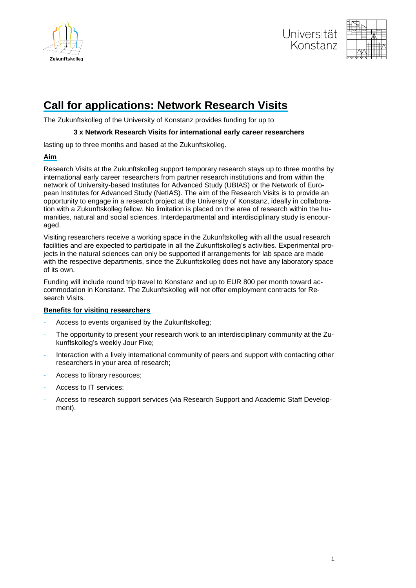





# **Call for applications: Network Research Visits**

The Zukunftskolleg of the University of Konstanz provides funding for up to

### **3 x Network Research Visits for international early career researchers**

lasting up to three months and based at the Zukunftskolleg.

# **Aim**

Research Visits at the Zukunftskolleg support temporary research stays up to three months by international early career researchers from partner research institutions and from within the network of University-based Institutes for Advanced Study (UBIAS) or the Network of European Institutes for Advanced Study (NetIAS). The aim of the Research Visits is to provide an opportunity to engage in a research project at the University of Konstanz, ideally in collaboration with a Zukunftskolleg fellow. No limitation is placed on the area of research within the humanities, natural and social sciences. Interdepartmental and interdisciplinary study is encouraged.

Visiting researchers receive a working space in the Zukunftskolleg with all the usual research facilities and are expected to participate in all the Zukunftskolleg's activities. Experimental projects in the natural sciences can only be supported if arrangements for lab space are made with the respective departments, since the Zukunftskolleg does not have any laboratory space of its own.

Funding will include round trip travel to Konstanz and up to EUR 800 per month toward accommodation in Konstanz. The Zukunftskolleg will not offer employment contracts for Research Visits.

# **Benefits for visiting researchers**

- Access to events organised by the Zukunftskolleg:
- The opportunity to present your research work to an interdisciplinary community at the Zukunftskolleg's weekly Jour Fixe;
- Interaction with a lively international community of peers and support with contacting other researchers in your area of research;
- Access to library resources;
- Access to IT services;
- Access to research support services (via Research Support and Academic Staff Development).